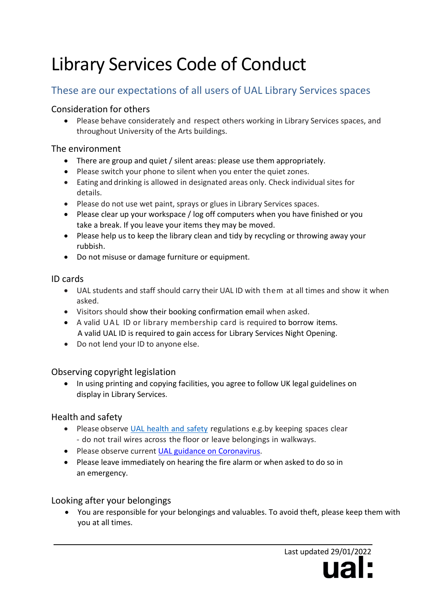# Library Services Code of Conduct

# These are our expectations of all users of UAL Library Services spaces

#### Consideration for others

• Please behave considerately and respect others working in Library Services spaces, and throughout University of the Arts buildings.

#### The environment

- There are group and quiet / silent areas: please use them appropriately.
- Please switch your phone to silent when you enter the quiet zones.
- Eating and drinking is allowed in designated areas only. Check individual sites for details.
- Please do not use wet paint, sprays or glues in Library Services spaces.
- Please clear up your workspace / log off computers when you have finished or you take a break. If you leave your items they may be moved.
- Please help us to keep the library clean and tidy by recycling or throwing away your rubbish.
- Do not misuse or damage furniture or equipment.

#### ID cards

- UAL students and staff should carry their UAL ID with them at all times and show it when asked.
- Visitors should show their booking confirmation email when asked.
- A valid UAL ID or library membership card is required to borrow items. A valid UAL ID is required to gain access for Library Services Night Opening.
- Do not lend your ID to anyone else.

## Observing copyright legislation

• In using printing and copying facilities, you agree to follow UK [legal guidelines o](https://www.arts.ac.uk/students/library-services/customer-services/copyright)n display in Library Services.

#### Health and safety

- Please observe UAL [health](https://www.arts.ac.uk/students/health-and-safety-for-students) and safety regulations e.g.by keeping spaces clear - do not trail wires across the floor or leave belongings in walkways.
- Please observe current [UAL guidance on Coronavirus.](https://www.arts.ac.uk/coronavirus-important-guidance)
- Please leave immediately on hearing the fire alarm or when asked to do so in an emergency.

## Looking after your belongings

• You are responsible for your belongings and valuables. To avoid theft, please keep them with you at all times.

> Last updated 29/01/2022 112I.